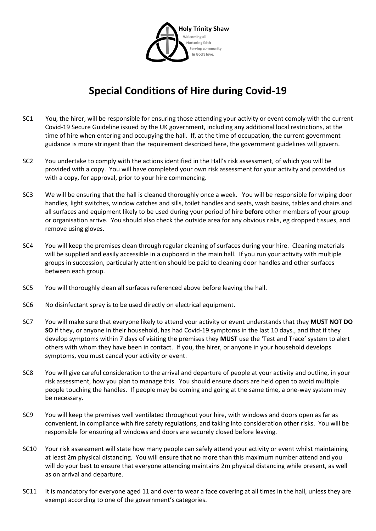

## **Special Conditions of Hire during Covid-19**

- SC1 You, the hirer, will be responsible for ensuring those attending your activity or event comply with the current Covid-19 Secure Guideline issued by the UK government, including any additional local restrictions, at the time of hire when entering and occupying the hall. If, at the time of occupation, the current government guidance is more stringent than the requirement described here, the government guidelines will govern.
- SC2 You undertake to comply with the actions identified in the Hall's risk assessment, of which you will be provided with a copy. You will have completed your own risk assessment for your activity and provided us with a copy, for approval, prior to your hire commencing.
- SC3 We will be ensuring that the hall is cleaned thoroughly once a week. You will be responsible for wiping door handles, light switches, window catches and sills, toilet handles and seats, wash basins, tables and chairs and all surfaces and equipment likely to be used during your period of hire **before** other members of your group or organisation arrive. You should also check the outside area for any obvious risks, eg dropped tissues, and remove using gloves.
- SC4 You will keep the premises clean through regular cleaning of surfaces during your hire. Cleaning materials will be supplied and easily accessible in a cupboard in the main hall. If you run your activity with multiple groups in succession, particularly attention should be paid to cleaning door handles and other surfaces between each group.
- SC5 You will thoroughly clean all surfaces referenced above before leaving the hall.
- SC6 No disinfectant spray is to be used directly on electrical equipment.
- SC7 You will make sure that everyone likely to attend your activity or event understands that they **MUST NOT DO SO** if they, or anyone in their household, has had Covid-19 symptoms in the last 10 days., and that if they develop symptoms within 7 days of visiting the premises they **MUST** use the 'Test and Trace' system to alert others with whom they have been in contact. If you, the hirer, or anyone in your household develops symptoms, you must cancel your activity or event.
- SC8 You will give careful consideration to the arrival and departure of people at your activity and outline, in your risk assessment, how you plan to manage this. You should ensure doors are held open to avoid multiple people touching the handles. If people may be coming and going at the same time, a one-way system may be necessary.
- SC9 You will keep the premises well ventilated throughout your hire, with windows and doors open as far as convenient, in compliance with fire safety regulations, and taking into consideration other risks. You will be responsible for ensuring all windows and doors are securely closed before leaving.
- SC10 Your risk assessment will state how many people can safely attend your activity or event whilst maintaining at least 2m physical distancing. You will ensure that no more than this maximum number attend and you will do your best to ensure that everyone attending maintains 2m physical distancing while present, as well as on arrival and departure.
- SC11 It is mandatory for everyone aged 11 and over to wear a face covering at all times in the hall, unless they are exempt according to one of the government's categories.